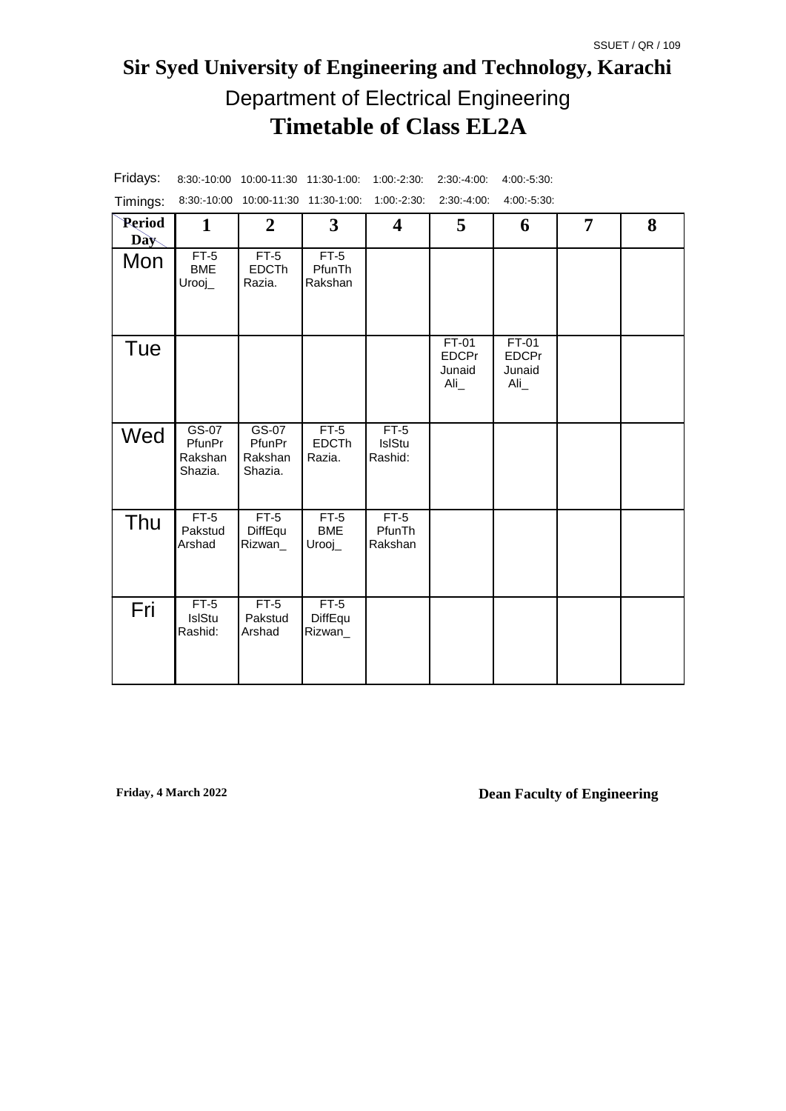# **Sir Syed University of Engineering and Technology, Karachi Timetable of Class EL2A** Department of Electrical Engineering

| Timings:      |                                         | 8:30:-10:00 10:00-11:30 11:30-1:00:     |                                  | 1:00:2:30:                  | 2:30:4:00:                                          | 4:00:-5:30:                            |                |   |
|---------------|-----------------------------------------|-----------------------------------------|----------------------------------|-----------------------------|-----------------------------------------------------|----------------------------------------|----------------|---|
| Period<br>Day | 1                                       | $\mathbf{2}$                            | $\mathbf{3}$                     | 4                           | 5                                                   | 6                                      | $\overline{7}$ | 8 |
| Mon           | $FT-5$<br><b>BME</b><br>$Urooj_$        | $FT-5$<br><b>EDCTh</b><br>Razia.        | $FT-5$<br>PfunTh<br>Rakshan      |                             |                                                     |                                        |                |   |
| Tue           |                                         |                                         |                                  |                             | FT-01<br><b>EDCPr</b><br>Junaid<br>$\text{Ali}_{-}$ | FT-01<br><b>EDCPr</b><br>Junaid<br>Ali |                |   |
| Wed           | $GS-07$<br>PfunPr<br>Rakshan<br>Shazia. | $GS-07$<br>PfunPr<br>Rakshan<br>Shazia. | $FT-5$<br><b>EDCTh</b><br>Razia. | $FT-5$<br>IslStu<br>Rashid: |                                                     |                                        |                |   |
| Thu           | $FT-5$<br>Pakstud<br>Arshad             | $FT-5$<br>DiffEqu<br>Rizwan_            | $FT-5$<br><b>BME</b><br>$Urooj_$ | $FT-5$<br>PfunTh<br>Rakshan |                                                     |                                        |                |   |
| Fri           | $FT-5$<br>IslStu<br>Rashid:             | $FT-5$<br>Pakstud<br>Arshad             | $FT-5$<br>DiffEqu<br>Rizwan      |                             |                                                     |                                        |                |   |

Fridays: 8:30:-10:00 10:00-11:30 11:30-1:00: 1:00:-2:30: 2:30:-4:00: 4:00:-5:30: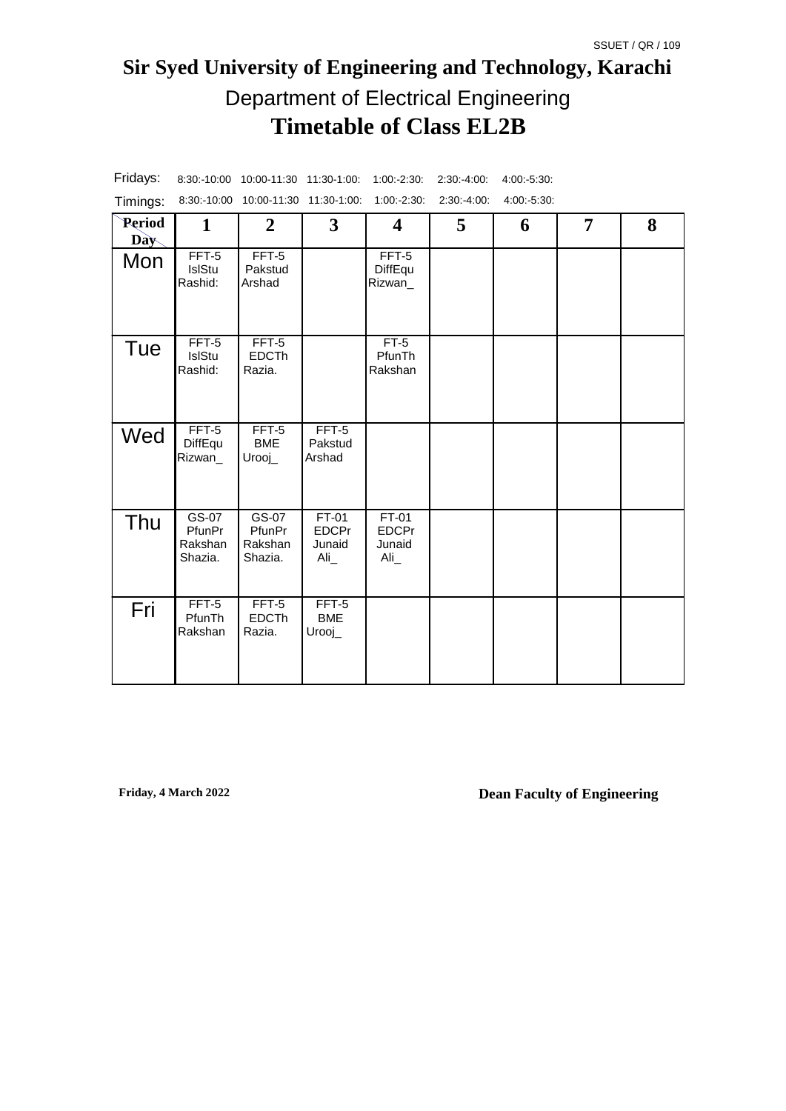# **Sir Syed University of Engineering and Technology, Karachi Timetable of Class EL2B** Department of Electrical Engineering

| Timings:      |                                         | 8:30:-10:00 10:00-11:30 11:30-1:00:     |                                           | $1:00:-2:30:$                            | 2:30:4:00: | 4.00.5.30. |                |   |
|---------------|-----------------------------------------|-----------------------------------------|-------------------------------------------|------------------------------------------|------------|------------|----------------|---|
| Period<br>Day | $\mathbf{1}$                            | $\boldsymbol{2}$                        | $\mathbf{3}$                              | $\overline{\mathbf{4}}$                  | 5          | 6          | $\overline{7}$ | 8 |
| Mon           | FFT-5<br>IslStu<br>Rashid:              | FFT-5<br>Pakstud<br>Arshad              |                                           | FFT-5<br>DiffEqu<br>Rizwan_              |            |            |                |   |
| Tue           | FFT-5<br>IslStu<br>Rashid:              | FFT-5<br><b>EDCTh</b><br>Razia.         |                                           | $FT-5$<br>PfunTh<br>Rakshan              |            |            |                |   |
| Wed           | $FFT-5$<br>DiffEqu<br>Rizwan_           | FFT-5<br><b>BME</b><br>$Urooj_$         | FFT-5<br>Pakstud<br>Arshad                |                                          |            |            |                |   |
| Thu           | $GS-07$<br>PfunPr<br>Rakshan<br>Shazia. | $GS-07$<br>PfunPr<br>Rakshan<br>Shazia. | $FT-01$<br><b>EDCPr</b><br>Junaid<br>Ali_ | $FT-01$<br><b>EDCPr</b><br>Junaid<br>Ali |            |            |                |   |
| Fri           | FFT-5<br>PfunTh<br>Rakshan              | FFT-5<br><b>EDCTh</b><br>Razia.         | FFT-5<br><b>BME</b><br>$Urooj_$           |                                          |            |            |                |   |

Fridays: 8:30:-10:00 10:00-11:30 11:30-1:00: 1:00:-2:30: 2:30:-4:00: 4:00:-5:30: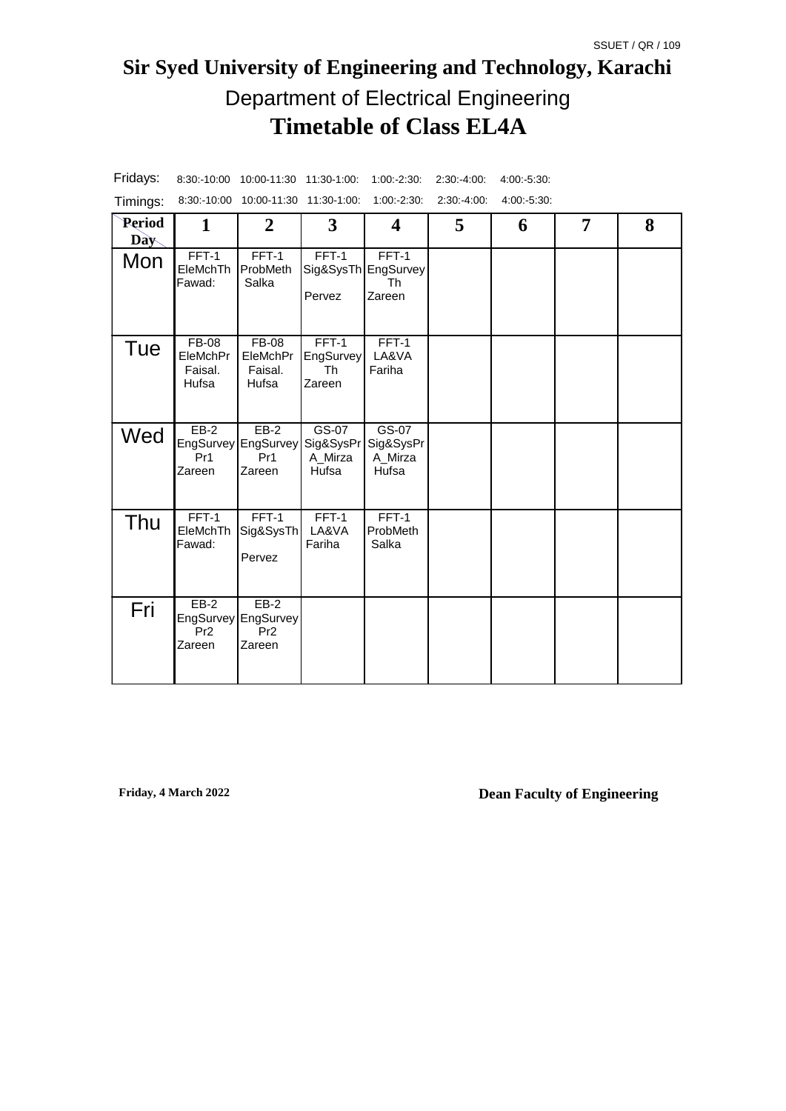# **Sir Syed University of Engineering and Technology, Karachi Timetable of Class EL4A** Department of Electrical Engineering

| Timings:      |                                              | 8:30:-10:00 10:00-11:30 11:30-1:00:                        |                                        | 1:00:2:30:                                     | 2:30:4:00: | 4:00:-5:30: |   |   |
|---------------|----------------------------------------------|------------------------------------------------------------|----------------------------------------|------------------------------------------------|------------|-------------|---|---|
| Period<br>Day | $\mathbf{1}$                                 | $\boldsymbol{2}$                                           | $\mathbf{3}$                           | $\boldsymbol{4}$                               | 5          | 6           | 7 | 8 |
| Mon           | $FFT-1$<br>EleMchTh<br>Fawad:                | $FFT-1$<br>ProbMeth<br>Salka                               | $FFT-1$<br>Pervez                      | $FFT-1$<br>Sig&SysTh EngSurvey<br>Th<br>Zareen |            |             |   |   |
| Tue           | <b>FB-08</b><br>EleMchPr<br>Faisal.<br>Hufsa | <b>FB-08</b><br>EleMchPr<br>Faisal.<br>Hufsa               | $FFT-1$<br>EngSurvey<br>Th<br>Zareen   | $FFT-1$<br>LA&VA<br>Fariha                     |            |             |   |   |
| Wed           | $EB-2$<br>Pr <sub>1</sub><br>Zareen          | $EB-2$<br>EngSurvey EngSurvey<br>Pr1<br>Zareen             | GS-07<br>Sig&SysPr<br>A_Mirza<br>Hufsa | GS-07<br>Sig&SysPr<br>A_Mirza<br>Hufsa         |            |             |   |   |
| Thu           | $FFT-1$<br>EleMchTh<br>Fawad:                | $FFT-1$<br>Sig&SysTh<br>Pervez                             | FFT-1<br>LA&VA<br>Fariha               | FFT-1<br>ProbMeth<br>Salka                     |            |             |   |   |
| Fri           | $EB-2$<br>Pr <sub>2</sub><br>Zareen          | $EB-2$<br>EngSurvey EngSurvey<br>Pr <sub>2</sub><br>Zareen |                                        |                                                |            |             |   |   |

Fridays: 8:30:-10:00 10:00-11:30 11:30-1:00: 1:00:-2:30: 2:30:-4:00: 4:00:-5:30: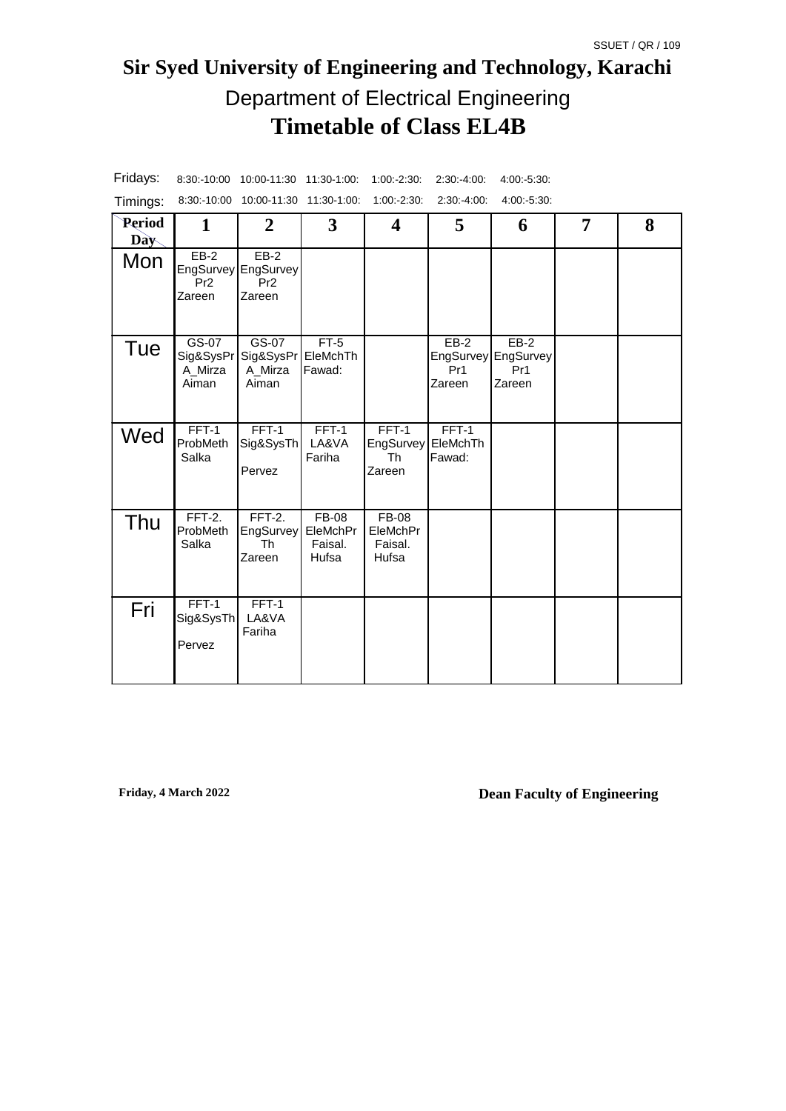# **Sir Syed University of Engineering and Technology, Karachi Timetable of Class EL4B** Department of Electrical Engineering

| Timings:             |                                          | 8:30:-10:00 10:00-11:30 11:30-1:00:                        |                                              | $1:00: -2:30:$                               | 2:30:-4:00:                         | 4:00:-5:30:                                    |   |   |
|----------------------|------------------------------------------|------------------------------------------------------------|----------------------------------------------|----------------------------------------------|-------------------------------------|------------------------------------------------|---|---|
| <b>Period</b><br>Day | $\mathbf{1}$                             | $\boldsymbol{2}$                                           | 3                                            | $\overline{\mathbf{4}}$                      | 5                                   | 6                                              | 7 | 8 |
| Mon                  | $EB-2$<br>Pr <sub>2</sub><br>Zareen      | $EB-2$<br>EngSurvey EngSurvey<br>Pr <sub>2</sub><br>Zareen |                                              |                                              |                                     |                                                |   |   |
| Tue                  | $GS-07$<br>Sig&SysPr<br>A Mirza<br>Aiman | $GS-07$<br>Sig&SysPr <br>A Mirza<br>Aiman                  | $FT-5$<br>EleMchTh<br>Fawad:                 |                                              | $EB-2$<br>Pr <sub>1</sub><br>Zareen | $EB-2$<br>EngSurvey EngSurvey<br>Pr1<br>Zareen |   |   |
| Wed                  | FFT-1<br>ProbMeth<br>Salka               | $FFT-1$<br>Sig&SysTh<br>Pervez                             | FFT-1<br>LA&VA<br>Fariha                     | FFT-1<br>EngSurvey<br>Th<br>Zareen           | FFT-1<br>EleMchTh<br>Fawad:         |                                                |   |   |
| Thu                  | $FFT-2.$<br>ProbMeth<br>Salka            | $FFT-2.$<br>EngSurvey<br><b>Th</b><br>Zareen               | <b>FB-08</b><br>EleMchPr<br>Faisal.<br>Hufsa | <b>FB-08</b><br>EleMchPr<br>Faisal.<br>Hufsa |                                     |                                                |   |   |
| Fri                  | FFT-1<br>Sig&SysTh<br>Pervez             | FFT-1<br>LA&VA<br>Fariha                                   |                                              |                                              |                                     |                                                |   |   |

Fridays: 8:30:-10:00 10:00-11:30 11:30-1:00: 1:00:-2:30: 2:30:-4:00: 4:00:-5:30:

**Friday, 4 March 2022**

**Dean Faculty of Engineering**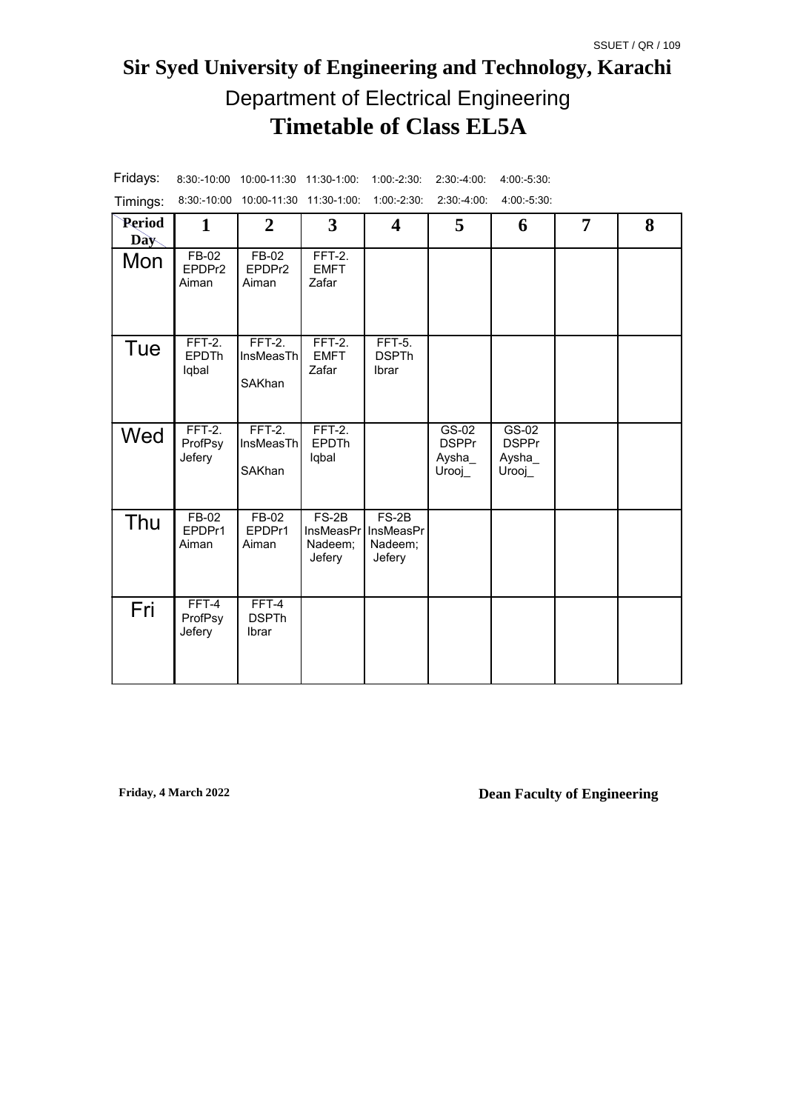# **Sir Syed University of Engineering and Technology, Karachi Timetable of Class EL5A** Department of Electrical Engineering

| Timings:      | 8:30:-10:00                       | 10:00-11:30 11:30-1:00          |                                                  | $1:00:-2:30:$                                    | $2:30: -4:00:$                                           | 4:00:-5:30:                                |   |   |
|---------------|-----------------------------------|---------------------------------|--------------------------------------------------|--------------------------------------------------|----------------------------------------------------------|--------------------------------------------|---|---|
| Period<br>Day | $\mathbf{1}$                      | $\overline{2}$                  | $\mathbf{3}$                                     | $\overline{\mathbf{4}}$                          | 5                                                        | 6                                          | 7 | 8 |
| Mon           | $FB-02$<br>EPDPr2<br>Aiman        | $FB-02$<br>EPDPr2<br>Aiman      | $FFT-2.$<br><b>EMFT</b><br>Zafar                 |                                                  |                                                          |                                            |   |   |
| Tue           | $FFT-2.$<br><b>EPDTh</b><br>lqbal | $FFT-2.$<br>InsMeasTh<br>SAKhan | $FFT-2.$<br><b>EMFT</b><br>Zafar                 | <b>FFT-5.</b><br><b>DSPTh</b><br>Ibrar           |                                                          |                                            |   |   |
| Wed           | $FFT-2.$<br>ProfPsy<br>Jefery     | $FFT-2.$<br>InsMeasTh<br>SAKhan | $FFT-2.$<br><b>EPDTh</b><br>lqbal                |                                                  | $\overline{GS-02}$<br><b>DSPPr</b><br>Aysha_<br>$Urooj_$ | $GS-02$<br><b>DSPPr</b><br>Aysha<br>Urooj_ |   |   |
| Thu           | FB-02<br>EPDPr1<br>Aiman          | FB-02<br>EPDPr1<br>Aiman        | $FS-2B$<br><b>InsMeasPr</b><br>Nadeem;<br>Jefery | $FS-2B$<br><b>InsMeasPr</b><br>Nadeem;<br>Jefery |                                                          |                                            |   |   |
| Fri           | FFT-4<br>ProfPsy<br>Jefery        | FFT-4<br><b>DSPTh</b><br>Ibrar  |                                                  |                                                  |                                                          |                                            |   |   |

Fridays: 8:30:-10:00 10:00-11:30 11:30-1:00: 1:00:-2:30: 2:30:-4:00: 4:00:-5:30: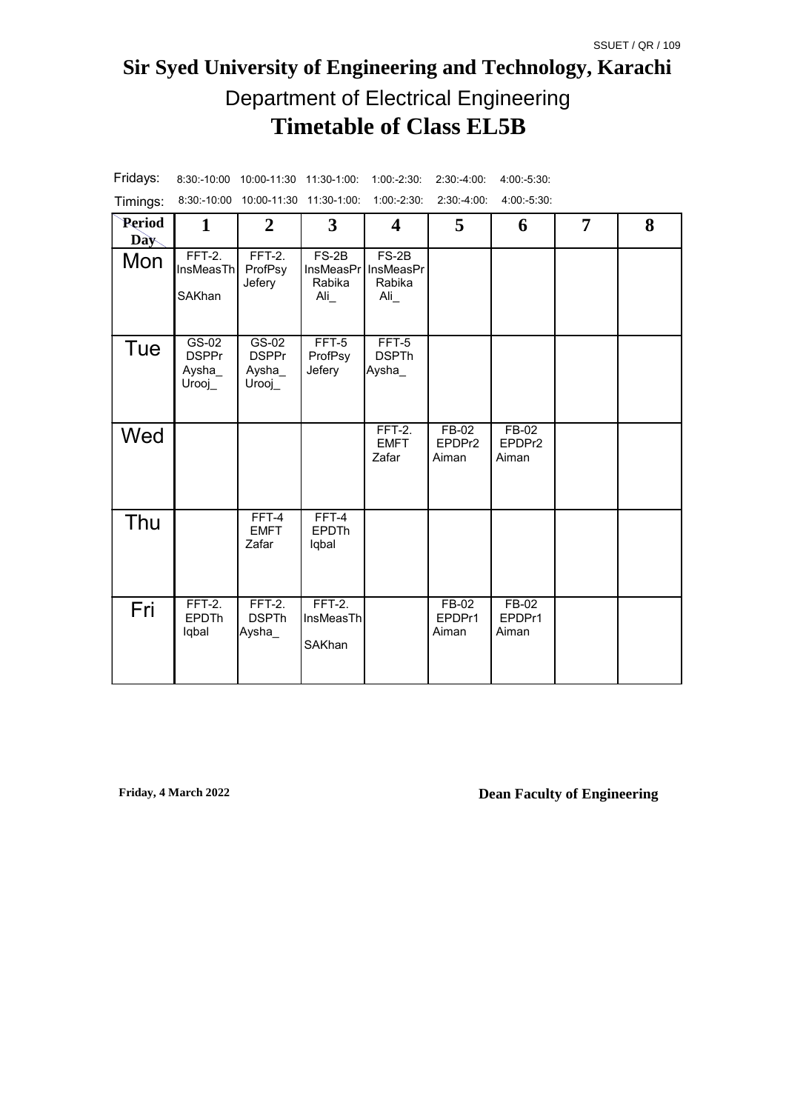# **Sir Syed University of Engineering and Technology, Karachi Timetable of Class EL5B** Department of Electrical Engineering

| Timings:                    | $8:30 - 10:00$                                            | 10:00-11:30 11:30-1:00:                                        |                                                           | $1:00:-2:30:$                                       | $2:30 - 4:00$              | 4 00 -5 30                 |   |   |
|-----------------------------|-----------------------------------------------------------|----------------------------------------------------------------|-----------------------------------------------------------|-----------------------------------------------------|----------------------------|----------------------------|---|---|
| <b>Period</b><br><b>Day</b> | 1                                                         | $\overline{2}$                                                 | 3                                                         | 4                                                   | 5                          | 6                          | 7 | 8 |
| Mon                         | $FFT-2.$<br><b>InsMeasTh</b><br>SAKhan                    | $FFT-2.$<br>ProfPsy<br>Jefery                                  | $FS-2B$<br><b>InsMeasPr</b><br>Rabika<br>$\overline{Ali}$ | $FS-2B$<br>InsMeasPr<br>Rabika<br>$\overline{A}$ li |                            |                            |   |   |
| Tue                         | $\overline{G}$ S-02<br><b>DSPPr</b><br>Aysha_<br>$Urooj_$ | $\overline{\text{GS}}$ -02<br><b>DSPPr</b><br>Aysha_<br>Urooj_ | FFT-5<br>ProfPsy<br>Jefery                                | FFT-5<br><b>DSPTh</b><br>Aysha_                     |                            |                            |   |   |
| Wed                         |                                                           |                                                                |                                                           | $FFT-2.$<br><b>EMFT</b><br>Zafar                    | $FB-02$<br>EPDPr2<br>Aiman | $FB-02$<br>EPDPr2<br>Aiman |   |   |
| Thu                         |                                                           | $FFT-4$<br><b>EMFT</b><br>Zafar                                | $FFT-4$<br><b>EPDTh</b><br>lqbal                          |                                                     |                            |                            |   |   |
| Fri                         | $FFT-2.$<br><b>EPDTh</b><br>lqbal                         | $FFT-2.$<br><b>DSPTh</b><br>Aysha_                             | $FFT-2.$<br>InsMeasTh<br>SAKhan                           |                                                     | FB-02<br>EPDPr1<br>Aiman   | FB-02<br>EPDPr1<br>Aiman   |   |   |

Fridays: 8:30:-10:00 10:00-11:30 11:30-1:00: 1:00:-2:30: 2:30:-4:00: 4:00:-5:30: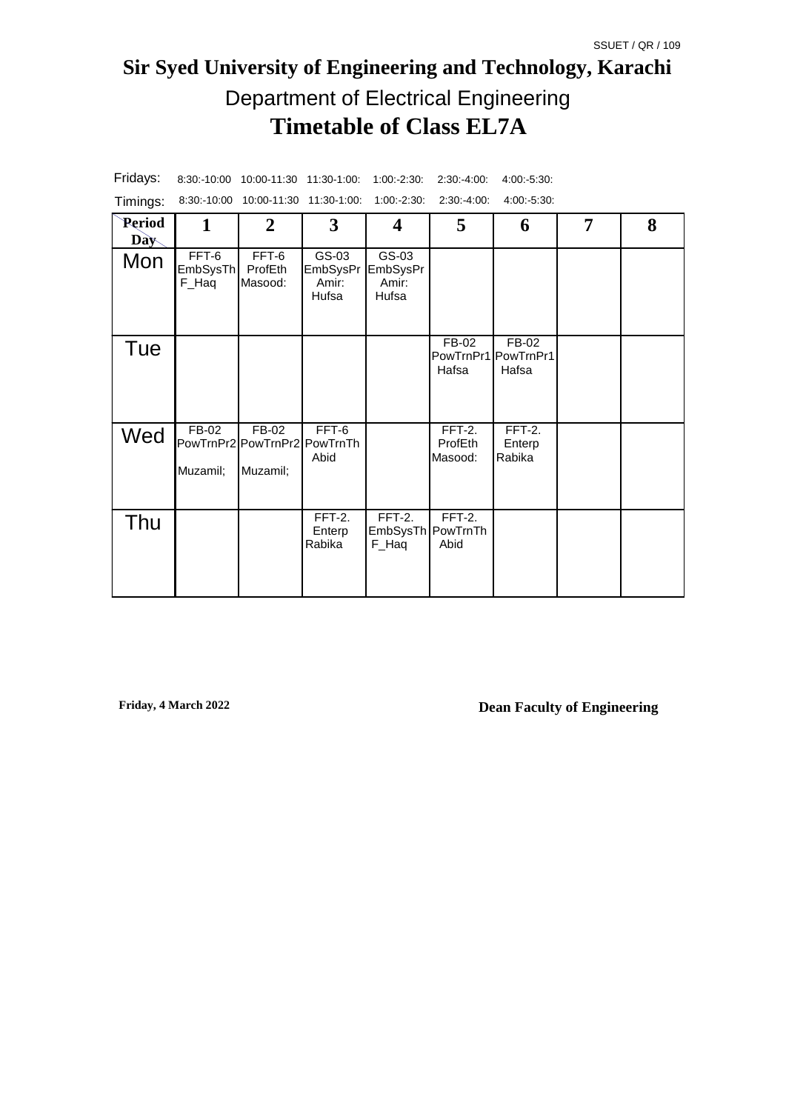# **Sir Syed University of Engineering and Technology, Karachi Timetable of Class EL7A** Department of Electrical Engineering

| Timings:             |                            | 8:30:-10:00 10:00-11:30 11:30-1:00:                 |                                     | $1:00:-2:30:$                          | 2:30:4:00.                   | 4:00:5:30.                            |   |   |
|----------------------|----------------------------|-----------------------------------------------------|-------------------------------------|----------------------------------------|------------------------------|---------------------------------------|---|---|
| Period<br><b>Day</b> | 1                          | $\overline{2}$                                      | 3                                   | 4                                      | 5                            | 6                                     | 7 | 8 |
| Mon                  | FFT-6<br>EmbSysTh<br>F_Haq | FFT-6<br>ProfEth<br>Masood:                         | GS-03<br>EmbSysPr<br>Amir:<br>Hufsa | GS-03<br>EmbSysPr<br>Amir:<br>Hufsa    |                              |                                       |   |   |
| Tue                  |                            |                                                     |                                     |                                        | FB-02<br>Hafsa               | FB-02<br>PowTrnPr1 PowTrnPr1<br>Hafsa |   |   |
| Wed                  | FB-02<br>Muzamil;          | $FB-02$<br>PowTrnPr2 PowTrnPr2 PowTrnTh<br>Muzamil; | FFT-6<br>Abid                       |                                        | FFT-2.<br>ProfEth<br>Masood: | FFT-2.<br>Enterp<br>Rabika            |   |   |
| Thu                  |                            |                                                     | $FFT-2.$<br>Enterp<br>Rabika        | $FFT-2.$<br>EmbSysTh PowTrnTh<br>F_Haq | $FFT-2.$<br>Abid             |                                       |   |   |

Fridays: 8:30:-10:00 10:00-11:30 11:30-1:00: 1:00:-2:30: 2:30:-4:00: 4:00:-5:30: